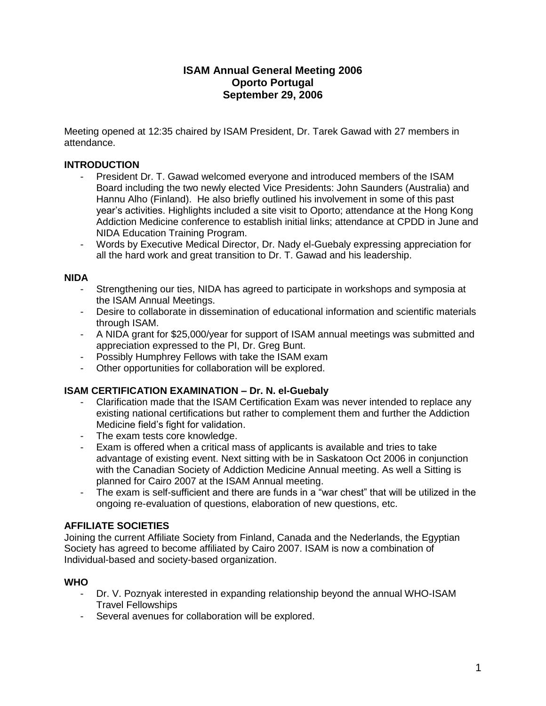# **ISAM Annual General Meeting 2006 Oporto Portugal September 29, 2006**

Meeting opened at 12:35 chaired by ISAM President, Dr. Tarek Gawad with 27 members in attendance.

## **INTRODUCTION**

- President Dr. T. Gawad welcomed everyone and introduced members of the ISAM Board including the two newly elected Vice Presidents: John Saunders (Australia) and Hannu Alho (Finland). He also briefly outlined his involvement in some of this past year's activities. Highlights included a site visit to Oporto; attendance at the Hong Kong Addiction Medicine conference to establish initial links; attendance at CPDD in June and NIDA Education Training Program.
- Words by Executive Medical Director, Dr. Nady el-Guebaly expressing appreciation for all the hard work and great transition to Dr. T. Gawad and his leadership.

#### **NIDA**

- Strengthening our ties, NIDA has agreed to participate in workshops and symposia at the ISAM Annual Meetings.
- Desire to collaborate in dissemination of educational information and scientific materials through ISAM.
- A NIDA grant for \$25,000/year for support of ISAM annual meetings was submitted and appreciation expressed to the PI, Dr. Greg Bunt.
- Possibly Humphrey Fellows with take the ISAM exam
- Other opportunities for collaboration will be explored.

### **ISAM CERTIFICATION EXAMINATION – Dr. N. el-Guebaly**

- Clarification made that the ISAM Certification Exam was never intended to replace any existing national certifications but rather to complement them and further the Addiction Medicine field's fight for validation.
- The exam tests core knowledge.
- Exam is offered when a critical mass of applicants is available and tries to take advantage of existing event. Next sitting with be in Saskatoon Oct 2006 in conjunction with the Canadian Society of Addiction Medicine Annual meeting. As well a Sitting is planned for Cairo 2007 at the ISAM Annual meeting.
- The exam is self-sufficient and there are funds in a "war chest" that will be utilized in the ongoing re-evaluation of questions, elaboration of new questions, etc.

### **AFFILIATE SOCIETIES**

Joining the current Affiliate Society from Finland, Canada and the Nederlands, the Egyptian Society has agreed to become affiliated by Cairo 2007. ISAM is now a combination of Individual-based and society-based organization.

#### **WHO**

- Dr. V. Poznyak interested in expanding relationship beyond the annual WHO-ISAM Travel Fellowships
- Several avenues for collaboration will be explored.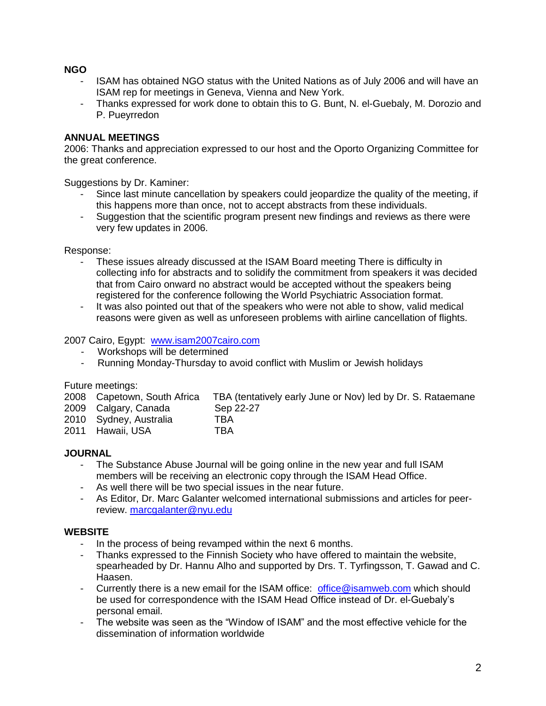## **NGO**

- ISAM has obtained NGO status with the United Nations as of July 2006 and will have an ISAM rep for meetings in Geneva, Vienna and New York.
- Thanks expressed for work done to obtain this to G. Bunt, N. el-Guebaly, M. Dorozio and P. Pueyrredon

# **ANNUAL MEETINGS**

2006: Thanks and appreciation expressed to our host and the Oporto Organizing Committee for the great conference.

Suggestions by Dr. Kaminer:

- Since last minute cancellation by speakers could jeopardize the quality of the meeting, if this happens more than once, not to accept abstracts from these individuals.
- Suggestion that the scientific program present new findings and reviews as there were very few updates in 2006.

Response:

- These issues already discussed at the ISAM Board meeting There is difficulty in collecting info for abstracts and to solidify the commitment from speakers it was decided that from Cairo onward no abstract would be accepted without the speakers being registered for the conference following the World Psychiatric Association format.
- It was also pointed out that of the speakers who were not able to show, valid medical reasons were given as well as unforeseen problems with airline cancellation of flights.

2007 Cairo, Egypt: [www.isam2007cairo.com](http://www.isam2007cairo.com/)

- Workshops will be determined<br>- Running Monday-Thursday to a
- Running Monday-Thursday to avoid conflict with Muslim or Jewish holidays

Future meetings:

| 2008 Capetown, South Africa<br>2009 Calgary, Canada | TBA (tentatively early June or Nov) led by Dr. S. Rataemane<br>Sep 22-27 |
|-----------------------------------------------------|--------------------------------------------------------------------------|
| 2010 Sydney, Australia                              | TBA                                                                      |
| 2011 Hawaii, USA                                    | TBA                                                                      |

### **JOURNAL**

- The Substance Abuse Journal will be going online in the new year and full ISAM members will be receiving an electronic copy through the ISAM Head Office.
- As well there will be two special issues in the near future.
- As Editor, Dr. Marc Galanter welcomed international submissions and articles for peerreview. [marcgalanter@nyu.edu](mailto:marcgalanter@nyu.edu)

### **WEBSITE**

- In the process of being revamped within the next 6 months.
- Thanks expressed to the Finnish Society who have offered to maintain the website, spearheaded by Dr. Hannu Alho and supported by Drs. T. Tyrfingsson, T. Gawad and C. Haasen.
- Currently there is a new email for the ISAM office: [office@isamweb.com](mailto:office@isamweb.com) which should be used for correspondence with the ISAM Head Office instead of Dr. el-Guebaly's personal email.
- The website was seen as the "Window of ISAM" and the most effective vehicle for the dissemination of information worldwide